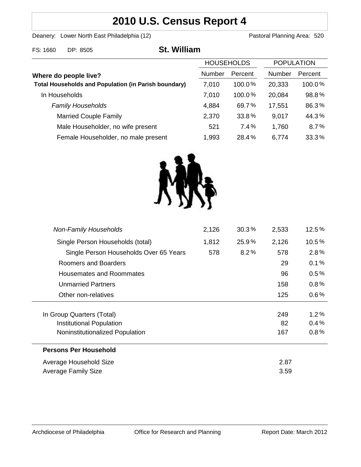# **2010 U.S. Census Report 4**

Deanery: Lower North East Philadelphia (12) Deanery: Lower North East Philadelphia (12)

l.

| FS: 1660                                                                             | DP: 8505                            | <b>St. William</b> |           |                   |         |                   |  |
|--------------------------------------------------------------------------------------|-------------------------------------|--------------------|-----------|-------------------|---------|-------------------|--|
|                                                                                      |                                     |                    |           | <b>HOUSEHOLDS</b> |         | <b>POPULATION</b> |  |
| Where do people live?<br><b>Total Households and Population (in Parish boundary)</b> |                                     | Number             | Percent   | <b>Number</b>     | Percent |                   |  |
|                                                                                      |                                     | 7,010              | $100.0\%$ | 20,333            | 100.0%  |                   |  |
| In Households                                                                        |                                     | 7,010              | 100.0%    | 20,084            | 98.8%   |                   |  |
|                                                                                      | <b>Family Households</b>            |                    | 4,884     | 69.7%             | 17,551  | 86.3%             |  |
|                                                                                      | <b>Married Couple Family</b>        |                    | 2,370     | 33.8%             | 9,017   | 44.3%             |  |
|                                                                                      | Male Householder, no wife present   |                    | 521       | 7.4%              | 1,760   | 8.7%              |  |
|                                                                                      | Female Householder, no male present |                    | 1,993     | 28.4%             | 6,774   | 33.3%             |  |



| <b>Non-Family Households</b>           | 2,126 | 30.3% | 2,533 | 12.5%   |
|----------------------------------------|-------|-------|-------|---------|
| Single Person Households (total)       | 1,812 | 25.9% | 2,126 | 10.5%   |
| Single Person Households Over 65 Years | 578   | 8.2%  | 578   | 2.8%    |
| Roomers and Boarders                   |       |       | 29    | 0.1%    |
| Housemates and Roommates               |       |       | 96    | $0.5\%$ |
| <b>Unmarried Partners</b>              |       |       | 158   | $0.8\%$ |
| Other non-relatives                    |       |       | 125   | $0.6\%$ |
|                                        |       |       |       |         |
| In Group Quarters (Total)              |       |       | 249   | $1.2\%$ |
| Institutional Population               |       |       | 82    | 0.4%    |
| Noninstitutionalized Population        |       |       | 167   | 0.8%    |
| <b>Persons Per Household</b>           |       |       |       |         |
| Average Household Size                 |       |       | 2.87  |         |
| Average Family Size                    |       |       | 3.59  |         |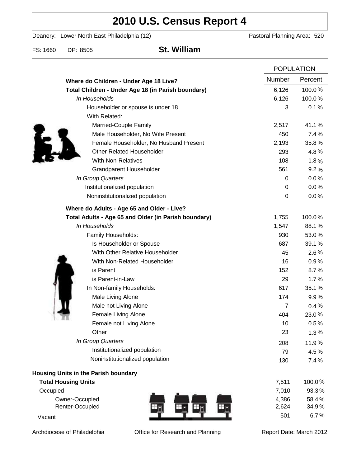# **2010 U.S. Census Report 4**

Deanery: Lower North East Philadelphia (12) Deanery: Lower North East Philadelphia (12)

FS: 1660 DP: 8505 **St. William**

|                                                      |                | <b>POPULATION</b> |  |
|------------------------------------------------------|----------------|-------------------|--|
| Where do Children - Under Age 18 Live?               | <b>Number</b>  | Percent           |  |
| Total Children - Under Age 18 (in Parish boundary)   | 6,126          | 100.0%            |  |
| In Households                                        | 6,126          | 100.0%            |  |
| Householder or spouse is under 18                    | 3              | 0.1%              |  |
| With Related:                                        |                |                   |  |
| Married-Couple Family                                | 2,517          | 41.1%             |  |
| Male Householder, No Wife Present                    | 450            | 7.4%              |  |
| Female Householder, No Husband Present               | 2,193          | 35.8%             |  |
| <b>Other Related Householder</b>                     | 293            | 4.8%              |  |
| <b>With Non-Relatives</b>                            | 108            | 1.8%              |  |
| Grandparent Householder                              | 561            | 9.2%              |  |
| In Group Quarters                                    | 0              | 0.0%              |  |
| Institutionalized population                         | 0              | 0.0%              |  |
| Noninstitutionalized population                      | $\mathbf 0$    | 0.0%              |  |
| Where do Adults - Age 65 and Older - Live?           |                |                   |  |
| Total Adults - Age 65 and Older (in Parish boundary) | 1,755          | 100.0%            |  |
| In Households                                        | 1,547          | 88.1%             |  |
| Family Households:                                   | 930            | 53.0%             |  |
| Is Householder or Spouse                             | 687            | 39.1%             |  |
| With Other Relative Householder                      | 45             | 2.6%              |  |
| With Non-Related Householder                         | 16             | 0.9%              |  |
| is Parent                                            | 152            | 8.7%              |  |
| is Parent-in-Law                                     | 29             | 1.7%              |  |
| In Non-family Households:                            | 617            | 35.1%             |  |
| Male Living Alone                                    | 174            | 9.9%              |  |
| Male not Living Alone                                | $\overline{7}$ | 0.4%              |  |
| Female Living Alone                                  | 404            | 23.0%             |  |
| Female not Living Alone                              | 10             | 0.5%              |  |
| Other                                                | 23             | 1.3%              |  |
| In Group Quarters                                    | 208            | 11.9%             |  |
| Institutionalized population                         | 79             | 4.5%              |  |
| Noninstitutionalized population                      | 130            | 7.4%              |  |
| Housing Units in the Parish boundary                 |                |                   |  |
| <b>Total Housing Units</b>                           | 7,511          | 100.0%            |  |
| Occupied                                             | 7,010          | 93.3%             |  |
| Owner-Occupied                                       | 4,386          | 58.4%             |  |
| Renter-Occupied                                      | 2,624          | 34.9%             |  |
| Vacant                                               | 501            | 6.7%              |  |

Archdiocese of Philadelphia **Office for Research and Planning** Report Date: March 2012